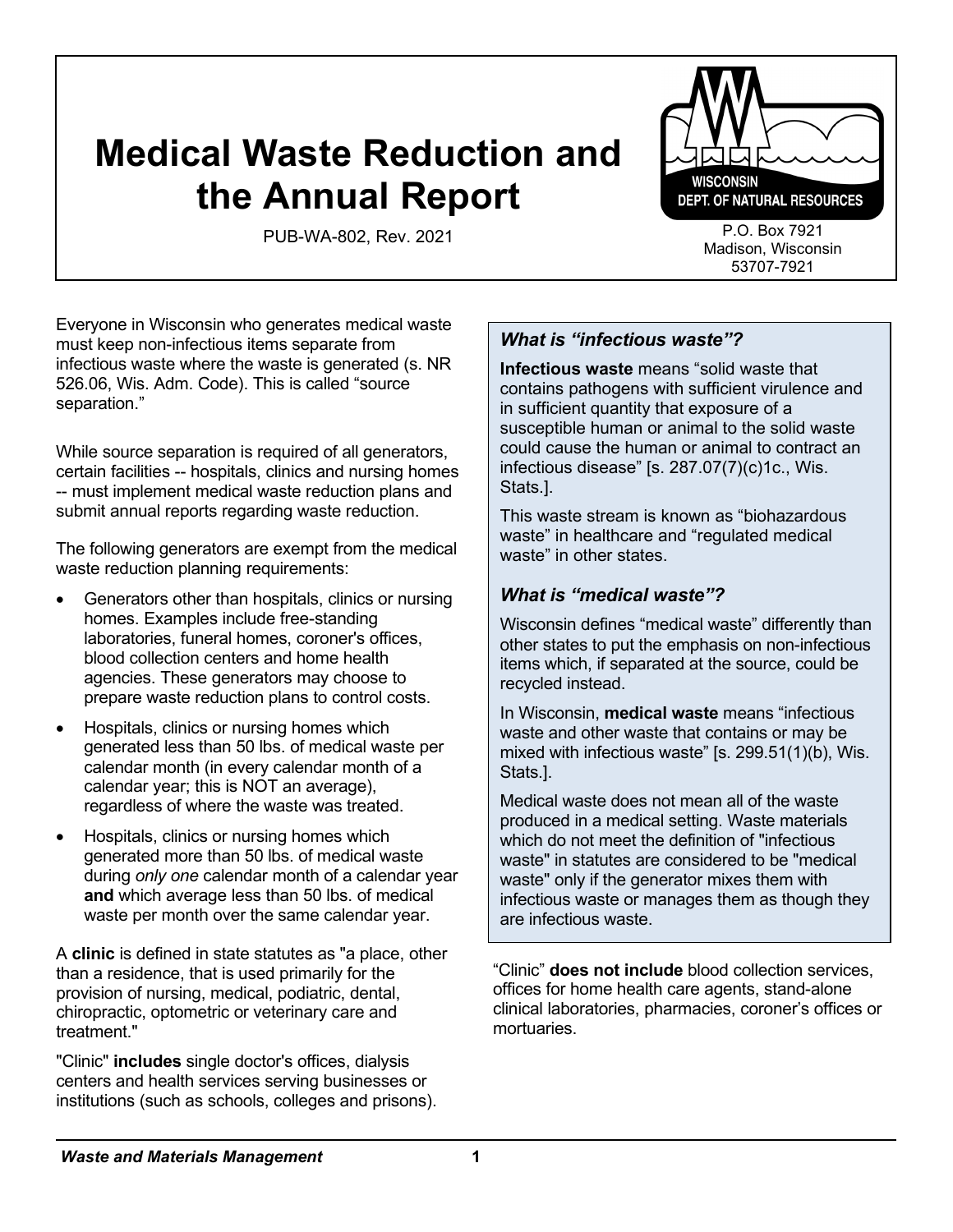# **Medical Waste Reduction and the Annual Report**

PUB-WA-802, Rev. 2021 P.O. Box 7921



Madison, Wisconsin 53707-7921

Everyone in Wisconsin who generates medical waste must keep non-infectious items separate from infectious waste where the waste is generated (s. NR 526.06, Wis. Adm. Code). This is called "source separation."

While source separation is required of all generators, certain facilities -- hospitals, clinics and nursing homes -- must implement medical waste reduction plans and submit annual reports regarding waste reduction.

The following generators are exempt from the medical waste reduction planning requirements:

- Generators other than hospitals, clinics or nursing homes. Examples include free-standing laboratories, funeral homes, coroner's offices, blood collection centers and home health agencies. These generators may choose to prepare waste reduction plans to control costs.
- Hospitals, clinics or nursing homes which generated less than 50 lbs. of medical waste per calendar month (in every calendar month of a calendar year; this is NOT an average), regardless of where the waste was treated.
- Hospitals, clinics or nursing homes which generated more than 50 lbs. of medical waste during *only one* calendar month of a calendar year **and** which average less than 50 lbs. of medical waste per month over the same calendar year.

A **clinic** is defined in state statutes as "a place, other than a residence, that is used primarily for the provision of nursing, medical, podiatric, dental, chiropractic, optometric or veterinary care and treatment."

"Clinic" **includes** single doctor's offices, dialysis centers and health services serving businesses or institutions (such as schools, colleges and prisons).

# *What is "infectious waste"?*

**Infectious waste** means "solid waste that contains pathogens with sufficient virulence and in sufficient quantity that exposure of a susceptible human or animal to the solid waste could cause the human or animal to contract an infectious disease" [s. 287.07(7)(c)1c., Wis. Stats.].

This waste stream is known as "biohazardous waste" in healthcare and "regulated medical waste" in other states

# *What is "medical waste"?*

Wisconsin defines "medical waste" differently than other states to put the emphasis on non-infectious items which, if separated at the source, could be recycled instead.

In Wisconsin, **medical waste** means "infectious waste and other waste that contains or may be mixed with infectious waste" [s. 299.51(1)(b), Wis. Stats.].

Medical waste does not mean all of the waste produced in a medical setting. Waste materials which do not meet the definition of "infectious waste" in statutes are considered to be "medical waste" only if the generator mixes them with infectious waste or manages them as though they are infectious waste.

"Clinic" **does not include** blood collection services, offices for home health care agents, stand-alone clinical laboratories, pharmacies, coroner's offices or mortuaries.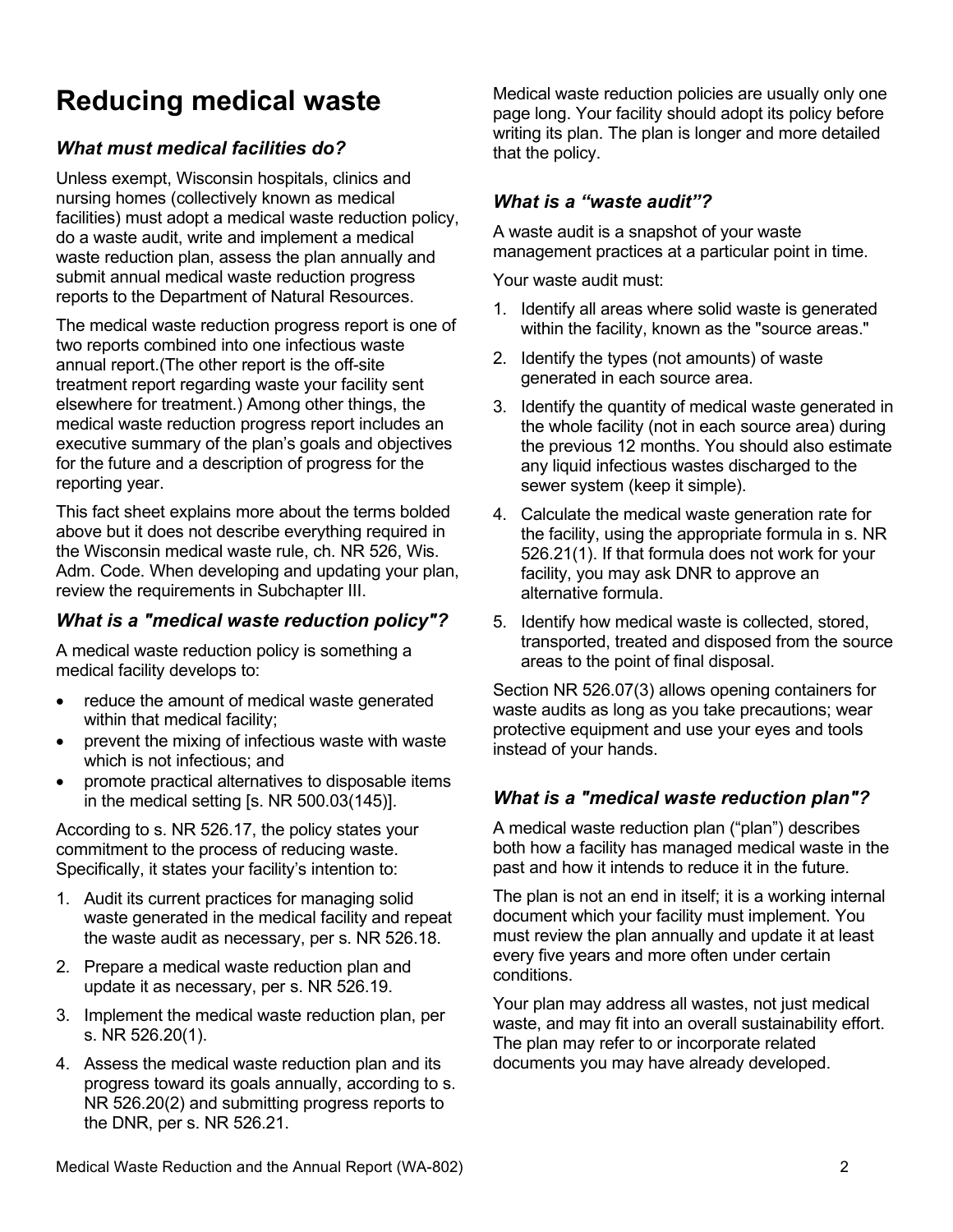# **Reducing medical waste**

# *What must medical facilities do?*

Unless exempt, Wisconsin hospitals, clinics and nursing homes (collectively known as medical facilities) must adopt a medical waste reduction policy, do a waste audit, write and implement a medical waste reduction plan, assess the plan annually and submit annual medical waste reduction progress reports to the Department of Natural Resources.

The medical waste reduction progress report is one of two reports combined into one infectious waste annual report.(The other report is the off-site treatment report regarding waste your facility sent elsewhere for treatment.) Among other things, the medical waste reduction progress report includes an executive summary of the plan's goals and objectives for the future and a description of progress for the reporting year.

This fact sheet explains more about the terms bolded above but it does not describe everything required in the Wisconsin medical waste rule, ch. NR 526, Wis. Adm. Code. When developing and updating your plan, review the requirements in Subchapter III.

### *What is a "medical waste reduction policy"?*

A medical waste reduction policy is something a medical facility develops to:

- reduce the amount of medical waste generated within that medical facility;
- prevent the mixing of infectious waste with waste which is not infectious; and
- promote practical alternatives to disposable items in the medical setting [s. NR 500.03(145)].

According to s. NR 526.17, the policy states your commitment to the process of reducing waste. Specifically, it states your facility's intention to:

- 1. Audit its current practices for managing solid waste generated in the medical facility and repeat the waste audit as necessary, per s. NR 526.18.
- 2. Prepare a medical waste reduction plan and update it as necessary, per s. NR 526.19.
- 3. Implement the medical waste reduction plan, per s. NR 526.20(1).
- 4. Assess the medical waste reduction plan and its progress toward its goals annually, according to s. NR 526.20(2) and submitting progress reports to the DNR, per s. NR 526.21.

Medical waste reduction policies are usually only one page long. Your facility should adopt its policy before writing its plan. The plan is longer and more detailed that the policy.

#### *What is a "waste audit"?*

A waste audit is a snapshot of your waste management practices at a particular point in time.

Your waste audit must:

- 1. Identify all areas where solid waste is generated within the facility, known as the "source areas."
- 2. Identify the types (not amounts) of waste generated in each source area.
- 3. Identify the quantity of medical waste generated in the whole facility (not in each source area) during the previous 12 months. You should also estimate any liquid infectious wastes discharged to the sewer system (keep it simple).
- 4. Calculate the medical waste generation rate for the facility, using the appropriate formula in s. NR 526.21(1). If that formula does not work for your facility, you may ask DNR to approve an alternative formula.
- 5. Identify how medical waste is collected, stored, transported, treated and disposed from the source areas to the point of final disposal.

Section NR 526.07(3) allows opening containers for waste audits as long as you take precautions; wear protective equipment and use your eyes and tools instead of your hands.

# *What is a "medical waste reduction plan"?*

A medical waste reduction plan ("plan") describes both how a facility has managed medical waste in the past and how it intends to reduce it in the future.

The plan is not an end in itself; it is a working internal document which your facility must implement. You must review the plan annually and update it at least every five years and more often under certain conditions.

Your plan may address all wastes, not just medical waste, and may fit into an overall sustainability effort. The plan may refer to or incorporate related documents you may have already developed.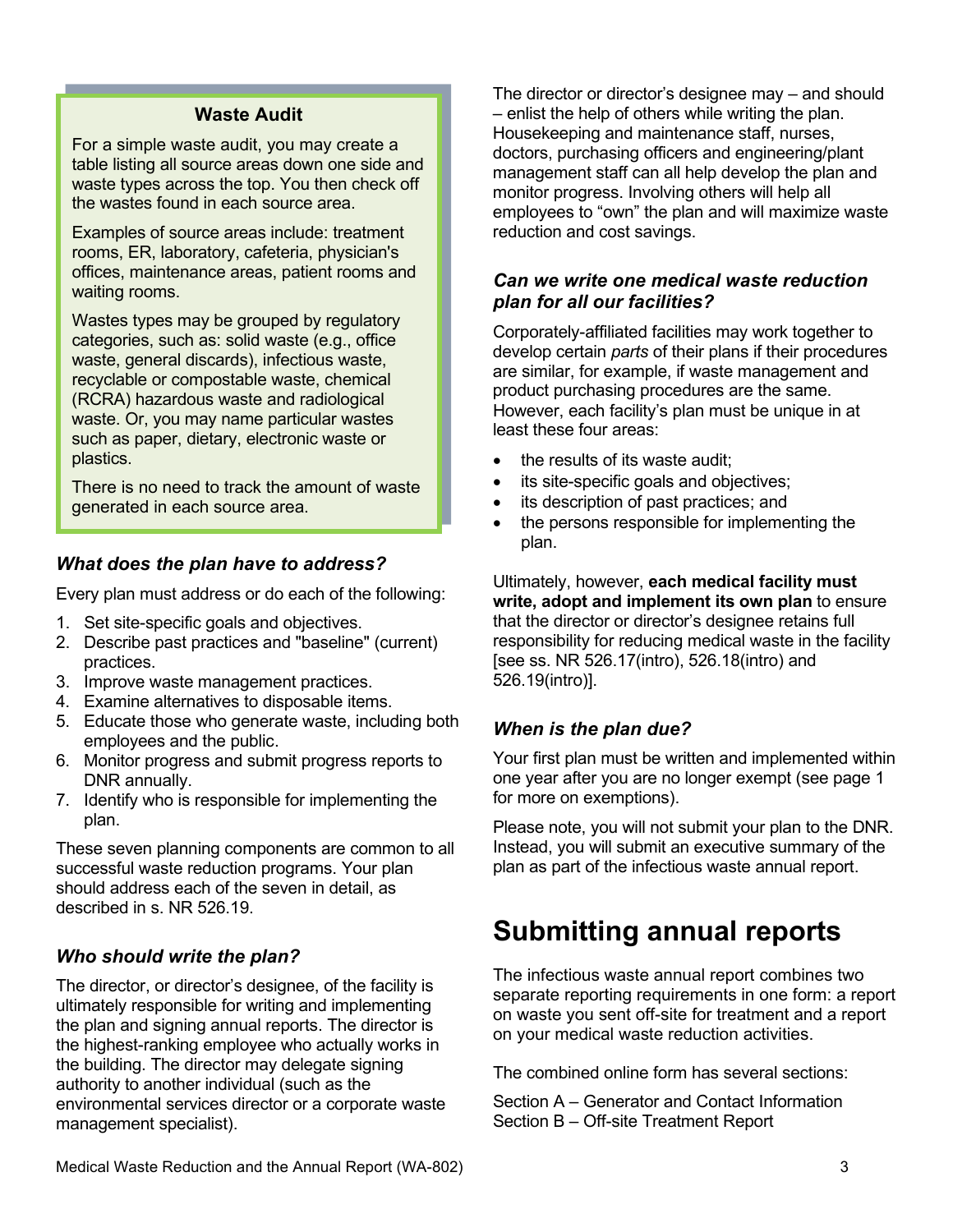#### **Waste Audit**

For a simple waste audit, you may create a table listing all source areas down one side and waste types across the top. You then check off the wastes found in each source area.

Examples of source areas include: treatment rooms, ER, laboratory, cafeteria, physician's offices, maintenance areas, patient rooms and waiting rooms.

Wastes types may be grouped by regulatory categories, such as: solid waste (e.g., office waste, general discards), infectious waste, recyclable or compostable waste, chemical (RCRA) hazardous waste and radiological waste. Or, you may name particular wastes such as paper, dietary, electronic waste or plastics.

There is no need to track the amount of waste generated in each source area.

#### *What does the plan have to address?*

Every plan must address or do each of the following:

- 1. Set site-specific goals and objectives.
- 2. Describe past practices and "baseline" (current) practices.
- 3. Improve waste management practices.
- 4. Examine alternatives to disposable items.
- 5. Educate those who generate waste, including both employees and the public.
- 6. Monitor progress and submit progress reports to DNR annually.
- 7. Identify who is responsible for implementing the plan.

These seven planning components are common to all successful waste reduction programs. Your plan should address each of the seven in detail, as described in s. NR 526.19.

# *Who should write the plan?*

The director, or director's designee, of the facility is ultimately responsible for writing and implementing the plan and signing annual reports. The director is the highest-ranking employee who actually works in the building. The director may delegate signing authority to another individual (such as the environmental services director or a corporate waste management specialist).

The director or director's designee may – and should – enlist the help of others while writing the plan. Housekeeping and maintenance staff, nurses, doctors, purchasing officers and engineering/plant management staff can all help develop the plan and monitor progress. Involving others will help all employees to "own" the plan and will maximize waste reduction and cost savings.

#### *Can we write one medical waste reduction plan for all our facilities?*

Corporately-affiliated facilities may work together to develop certain *parts* of their plans if their procedures are similar, for example, if waste management and product purchasing procedures are the same. However, each facility's plan must be unique in at least these four areas:

- the results of its waste audit;
- its site-specific goals and objectives;
- its description of past practices; and
- the persons responsible for implementing the plan.

Ultimately, however, **each medical facility must write, adopt and implement its own plan** to ensure that the director or director's designee retains full responsibility for reducing medical waste in the facility [see ss. NR 526.17(intro), 526.18(intro) and 526.19(intro)].

# *When is the plan due?*

Your first plan must be written and implemented within one year after you are no longer exempt (see page 1 for more on exemptions).

Please note, you will not submit your plan to the DNR. Instead, you will submit an executive summary of the plan as part of the infectious waste annual report.

# **Submitting annual reports**

The infectious waste annual report combines two separate reporting requirements in one form: a report on waste you sent off-site for treatment and a report on your medical waste reduction activities.

The combined online form has several sections:

Section A – Generator and Contact Information Section B – Off-site Treatment Report

Medical Waste Reduction and the Annual Report (WA-802) 3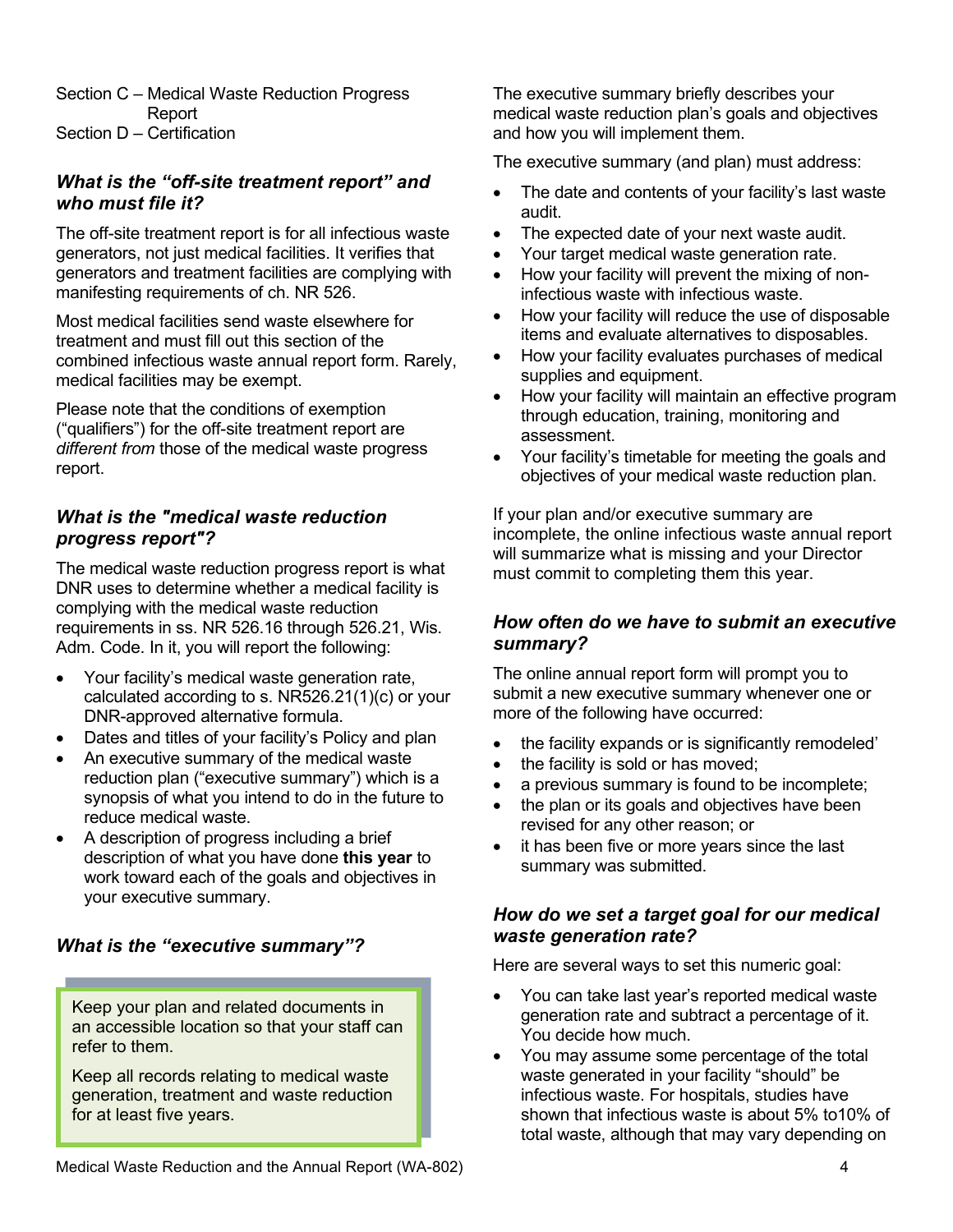Section C – Medical Waste Reduction Progress Report Section D – Certification

#### *What is the "off-site treatment report" and who must file it?*

The off-site treatment report is for all infectious waste generators, not just medical facilities. It verifies that generators and treatment facilities are complying with manifesting requirements of ch. NR 526.

Most medical facilities send waste elsewhere for treatment and must fill out this section of the combined infectious waste annual report form. Rarely, medical facilities may be exempt.

Please note that the conditions of exemption ("qualifiers") for the off-site treatment report are *different from* those of the medical waste progress report.

#### *What is the "medical waste reduction progress report"?*

The medical waste reduction progress report is what DNR uses to determine whether a medical facility is complying with the medical waste reduction requirements in ss. NR 526.16 through 526.21, Wis. Adm. Code. In it, you will report the following:

- Your facility's medical waste generation rate, calculated according to s. NR526.21(1)(c) or your DNR-approved alternative formula.
- Dates and titles of your facility's Policy and plan
- An executive summary of the medical waste reduction plan ("executive summary") which is a synopsis of what you intend to do in the future to reduce medical waste.
- A description of progress including a brief description of what you have done **this year** to work toward each of the goals and objectives in your executive summary.

#### *What is the "executive summary"?*

Keep your plan and related documents in an accessible location so that your staff can refer to them.

Keep all records relating to medical waste generation, treatment and waste reduction for at least five years.

The executive summary briefly describes your medical waste reduction plan's goals and objectives and how you will implement them.

The executive summary (and plan) must address:

- The date and contents of your facility's last waste audit.
- The expected date of your next waste audit.
- Your target medical waste generation rate.
- How your facility will prevent the mixing of noninfectious waste with infectious waste.
- How your facility will reduce the use of disposable items and evaluate alternatives to disposables.
- How your facility evaluates purchases of medical supplies and equipment.
- How your facility will maintain an effective program through education, training, monitoring and assessment.
- Your facility's timetable for meeting the goals and objectives of your medical waste reduction plan.

If your plan and/or executive summary are incomplete, the online infectious waste annual report will summarize what is missing and your Director must commit to completing them this year.

#### *How often do we have to submit an executive summary?*

The online annual report form will prompt you to submit a new executive summary whenever one or more of the following have occurred:

- the facility expands or is significantly remodeled'
- the facility is sold or has moved;
- a previous summary is found to be incomplete;
- the plan or its goals and objectives have been revised for any other reason; or
- it has been five or more years since the last summary was submitted.

### *How do we set a target goal for our medical waste generation rate?*

Here are several ways to set this numeric goal:

- You can take last year's reported medical waste generation rate and subtract a percentage of it. You decide how much.
- You may assume some percentage of the total waste generated in your facility "should" be infectious waste. For hospitals, studies have shown that infectious waste is about 5% to10% of total waste, although that may vary depending on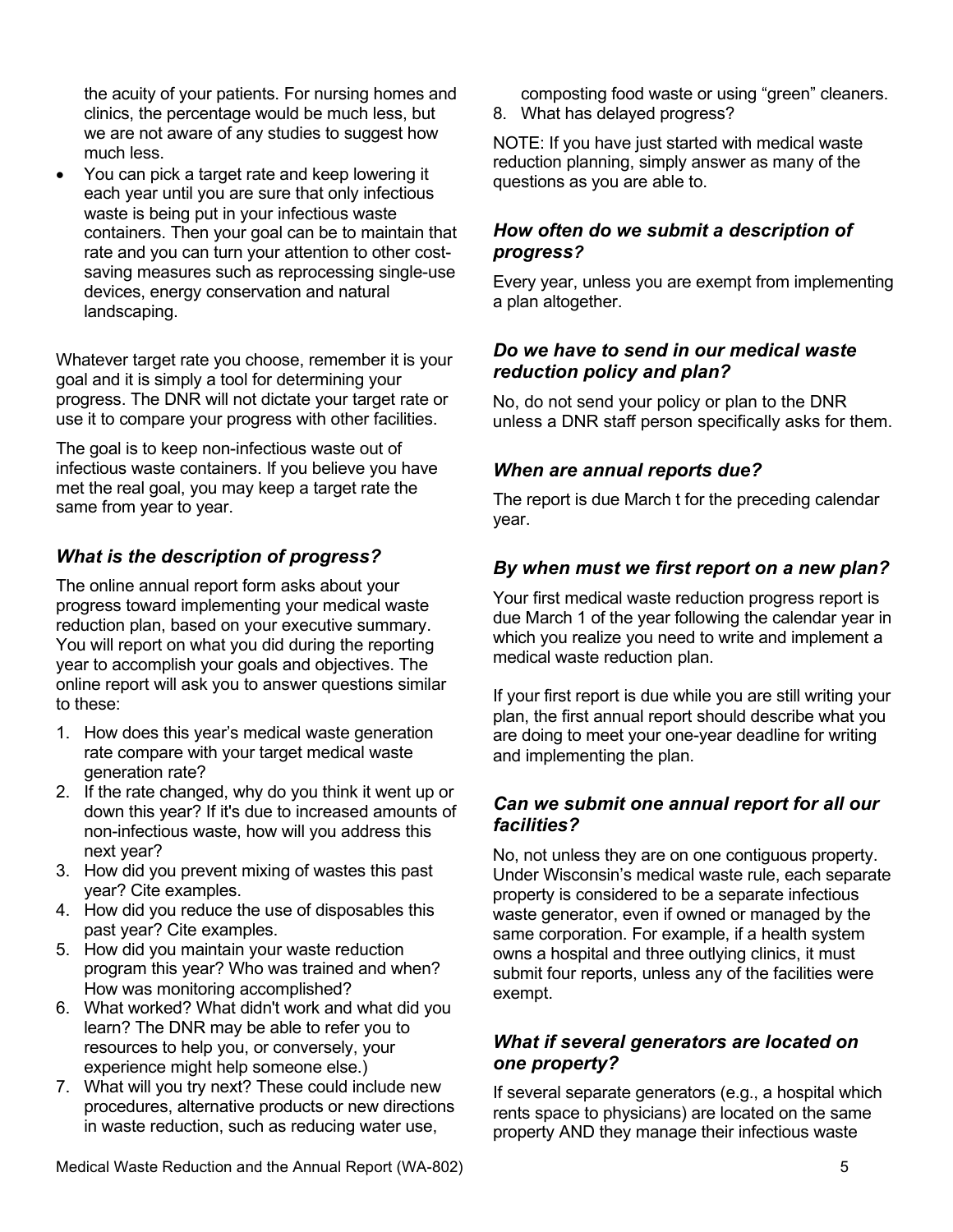the acuity of your patients. For nursing homes and clinics, the percentage would be much less, but we are not aware of any studies to suggest how much less.

• You can pick a target rate and keep lowering it each year until you are sure that only infectious waste is being put in your infectious waste containers. Then your goal can be to maintain that rate and you can turn your attention to other costsaving measures such as reprocessing single-use devices, energy conservation and natural landscaping.

Whatever target rate you choose, remember it is your goal and it is simply a tool for determining your progress. The DNR will not dictate your target rate or use it to compare your progress with other facilities.

The goal is to keep non-infectious waste out of infectious waste containers. If you believe you have met the real goal, you may keep a target rate the same from year to year.

# *What is the description of progress?*

The online annual report form asks about your progress toward implementing your medical waste reduction plan, based on your executive summary. You will report on what you did during the reporting year to accomplish your goals and objectives. The online report will ask you to answer questions similar to these:

- 1. How does this year's medical waste generation rate compare with your target medical waste generation rate?
- 2. If the rate changed, why do you think it went up or down this year? If it's due to increased amounts of non-infectious waste, how will you address this next year?
- 3. How did you prevent mixing of wastes this past year? Cite examples.
- 4. How did you reduce the use of disposables this past year? Cite examples.
- 5. How did you maintain your waste reduction program this year? Who was trained and when? How was monitoring accomplished?
- 6. What worked? What didn't work and what did you learn? The DNR may be able to refer you to resources to help you, or conversely, your experience might help someone else.)
- 7. What will you try next? These could include new procedures, alternative products or new directions in waste reduction, such as reducing water use,

composting food waste or using "green" cleaners.

8. What has delayed progress?

NOTE: If you have just started with medical waste reduction planning, simply answer as many of the questions as you are able to.

#### *How often do we submit a description of progress?*

Every year, unless you are exempt from implementing a plan altogether.

#### *Do we have to send in our medical waste reduction policy and plan?*

No, do not send your policy or plan to the DNR unless a DNR staff person specifically asks for them.

### *When are annual reports due?*

The report is due March t for the preceding calendar year.

# *By when must we first report on a new plan?*

Your first medical waste reduction progress report is due March 1 of the year following the calendar year in which you realize you need to write and implement a medical waste reduction plan.

If your first report is due while you are still writing your plan, the first annual report should describe what you are doing to meet your one-year deadline for writing and implementing the plan.

#### *Can we submit one annual report for all our facilities?*

No, not unless they are on one contiguous property. Under Wisconsin's medical waste rule, each separate property is considered to be a separate infectious waste generator, even if owned or managed by the same corporation. For example, if a health system owns a hospital and three outlying clinics, it must submit four reports, unless any of the facilities were exempt.

#### *What if several generators are located on one property?*

If several separate generators (e.g., a hospital which rents space to physicians) are located on the same property AND they manage their infectious waste

Medical Waste Reduction and the Annual Report (WA-802) 5